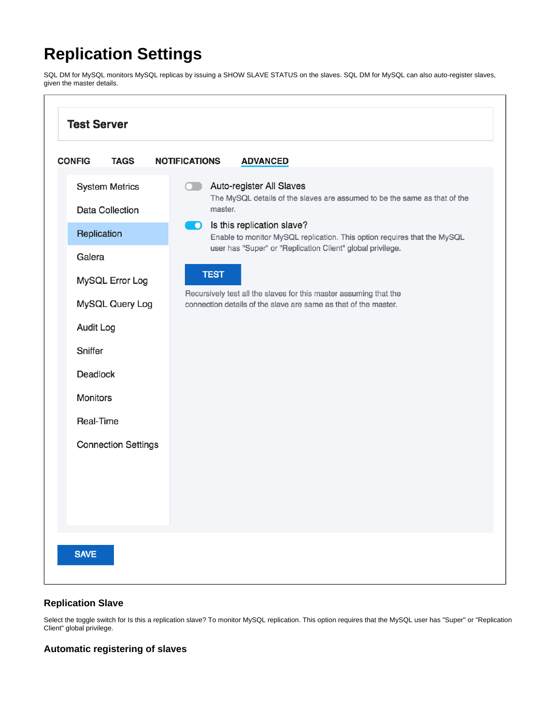## **Replication Settings**

SQL DM for MySQL monitors MySQL replicas by issuing a SHOW SLAVE STATUS on the slaves. SQL DM for MySQL can also auto-register slaves, given the master details.



## **Replication Slave**

Select the toggle switch for Is this a replication slave? To monitor MySQL replication. This option requires that the MySQL user has "Super" or "Replication Client" global privilege.

## **Automatic registering of slaves**